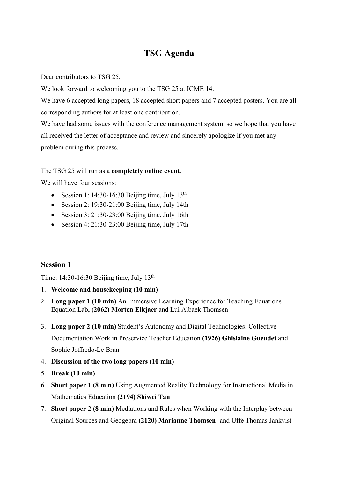## **TSG Agenda**

Dear contributors to TSG 25,

We look forward to welcoming you to the TSG 25 at ICME 14.

We have 6 accepted long papers, 18 accepted short papers and 7 accepted posters. You are all corresponding authors for at least one contribution.

We have had some issues with the conference management system, so we hope that you have all received the letter of acceptance and review and sincerely apologize if you met any problem during this process.

## The TSG 25 will run as a **completely online event**.

We will have four sessions:

- Session 1: 14:30-16:30 Beijing time, July  $13<sup>th</sup>$
- Session 2: 19:30-21:00 Beijing time, July 14th
- Session 3: 21:30-23:00 Beijing time, July 16th
- Session 4: 21:30-23:00 Beijing time, July 17th

## **Session 1**

Time: 14:30-16:30 Beijing time, July 13th

- 1. **Welcome and housekeeping (10 min)**
- 2. **Long paper 1 (10 min)** An Immersive Learning Experience for Teaching Equations Equation Lab**, (2062) Morten Elkjaer** and Lui Albaek Thomsen
- 3. **Long paper 2 (10 min)** Student's Autonomy and Digital Technologies: Collective Documentation Work in Preservice Teacher Education **(1926) Ghislaine Gueudet** and Sophie Joffredo-Le Brun
- 4. **Discussion of the two long papers (10 min)**
- 5. **Break (10 min)**
- 6. **Short paper 1 (8 min)** Using Augmented Reality Technology for Instructional Media in Mathematics Education **(2194) Shiwei Tan**
- 7. **Short paper 2 (8 min)** Mediations and Rules when Working with the Interplay between Original Sources and Geogebra **(2120) Marianne Thomsen** -and Uffe Thomas Jankvist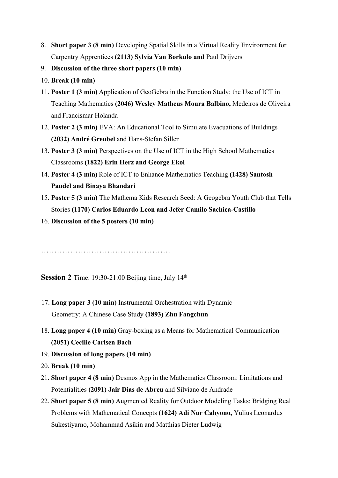- 8. **Short paper 3 (8 min)** Developing Spatial Skills in a Virtual Reality Environment for Carpentry Apprentices **(2113) Sylvia Van Borkulo and** Paul Drijvers
- 9. **Discussion of the three short papers (10 min)**
- 10. **Break (10 min)**
- 11. **Poster 1 (3 min)** Application of GeoGebra in the Function Study: the Use of ICT in Teaching Mathematics **(2046) Wesley Matheus Moura Balbino,** Medeiros de Oliveira and Francismar Holanda
- 12. **Poster 2 (3 min)** EVA: An Educational Tool to Simulate Evacuations of Buildings **(2032) André Greubel** and Hans-Stefan Siller
- 13. **Poster 3 (3 min)** Perspectives on the Use of ICT in the High School Mathematics Classrooms **(1822) Erin Herz and George Ekol**
- 14. **Poster 4 (3 min)** Role of ICT to Enhance Mathematics Teaching **(1428) Santosh Paudel and Binaya Bhandari**
- 15. **Poster 5 (3 min)** The Mathema Kids Research Seed: A Geogebra Youth Club that Tells Stories **(1170) Carlos Eduardo Leon and Jefer Camilo Sachica-Castillo**
- 16. **Discussion of the 5 posters (10 min)**

………………………………………….

**Session 2** Time: 19:30-21:00 Beijing time, July 14<sup>th</sup>

- 17. **Long paper 3 (10 min)** Instrumental Orchestration with Dynamic Geometry: A Chinese Case Study **(1893) Zhu Fangchun**
- 18. **Long paper 4 (10 min)** Gray-boxing as a Means for Mathematical Communication **(2051) Cecilie Carlsen Bach**
- 19. **Discussion of long papers (10 min)**
- 20. **Break (10 min)**
- 21. **Short paper 4 (8 min)** Desmos App in the Mathematics Classroom: Limitations and Potentialities **(2091) Jair Dias de Abreu** and Silviano de Andrade
- 22. **Short paper 5 (8 min)** Augmented Reality for Outdoor Modeling Tasks: Bridging Real Problems with Mathematical Concepts **(1624) Adi Nur Cahyono,** Yulius Leonardus Sukestiyarno, Mohammad Asikin and Matthias Dieter Ludwig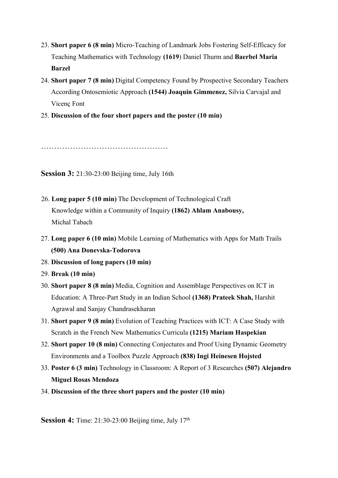- 23. **Short paper 6 (8 min)** Micro-Teaching of Landmark Jobs Fostering Self-Efficacy for Teaching Mathematics with Technology **(1619**) Daniel Thurm and **Baerbel Maria Barzel**
- 24. **Short paper 7 (8 min)** Digital Competency Found by Prospective Secondary Teachers According Ontosemiotic Approach **(1544) Joaquin Gimmenez,** Silvia Carvajal and Vicenç Font
- 25. **Discussion of the four short papers and the poster (10 min)**

…………………………………………………………………………………………

**Session 3:** 21:30-23:00 Beijing time, July 16th

- 26. **Long paper 5 (10 min)** The Development of Technological Craft Knowledge within a Community of Inquiry **(1862) Ahlam Anabousy,** Michal Tabach
- 27. **Long paper 6 (10 min)** Mobile Learning of Mathematics with Apps for Math Trails **(500) Ana Donevska-Todorova**
- 28. **Discussion of long papers (10 min)**
- 29. **Break (10 min)**
- 30. **Short paper 8 (8 min)** Media, Cognition and Assemblage Perspectives on ICT in Education: A Three-Part Study in an Indian School **(1368) Prateek Shah,** Harshit Agrawal and Sanjay Chandrasekharan
- 31. **Short paper 9 (8 min)** Evolution of Teaching Practices with ICT: A Case Study with Scratch in the French New Mathematics Curricula **(1215) Mariam Haspekian**
- 32. **Short paper 10 (8 min)** Connecting Conjectures and Proof Using Dynamic Geometry Environments and a Toolbox Puzzle Approach **(838) Ingi Heinesen Hojsted**
- 33. **Poster 6 (3 min)** Technology in Classroom: A Report of 3 Researches **(507) Alejandro Miguel Rosas Mendoza**
- 34. **Discussion of the three short papers and the poster (10 min)**

**Session 4:** Time: 21:30-23:00 Beijing time, July 17<sup>th</sup>